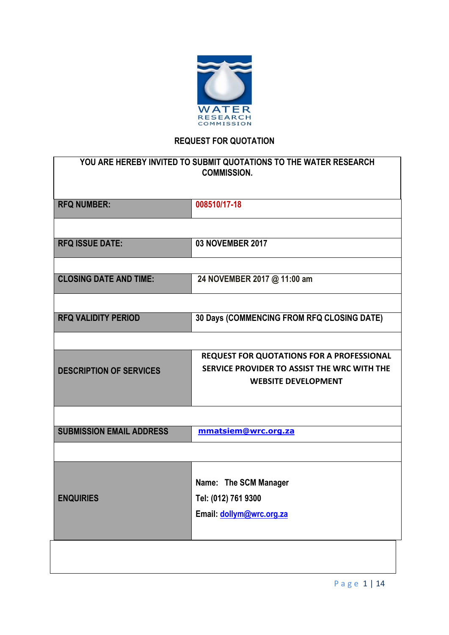

# **REQUEST FOR QUOTATION**

| 008510/17-18<br><b>RFQ NUMBER:</b><br><b>RFQ ISSUE DATE:</b><br>03 NOVEMBER 2017<br><b>CLOSING DATE AND TIME:</b><br>24 NOVEMBER 2017 @ 11:00 am |
|--------------------------------------------------------------------------------------------------------------------------------------------------|
|                                                                                                                                                  |
|                                                                                                                                                  |
|                                                                                                                                                  |
|                                                                                                                                                  |
|                                                                                                                                                  |
| 30 Days (COMMENCING FROM RFQ CLOSING DATE)<br><b>RFQ VALIDITY PERIOD</b>                                                                         |
|                                                                                                                                                  |
| REQUEST FOR QUOTATIONS FOR A PROFESSIONAL                                                                                                        |
| SERVICE PROVIDER TO ASSIST THE WRC WITH THE<br><b>DESCRIPTION OF SERVICES</b>                                                                    |
| <b>WEBSITE DEVELOPMENT</b>                                                                                                                       |
|                                                                                                                                                  |
| <b>SUBMISSION EMAIL ADDRESS</b><br>mmatsiem@wrc.org.za                                                                                           |
|                                                                                                                                                  |
| Name: The SCM Manager                                                                                                                            |
| Tel: (012) 761 9300<br><b>ENQUIRIES</b>                                                                                                          |
| Email: dollym@wrc.org.za                                                                                                                         |
|                                                                                                                                                  |
|                                                                                                                                                  |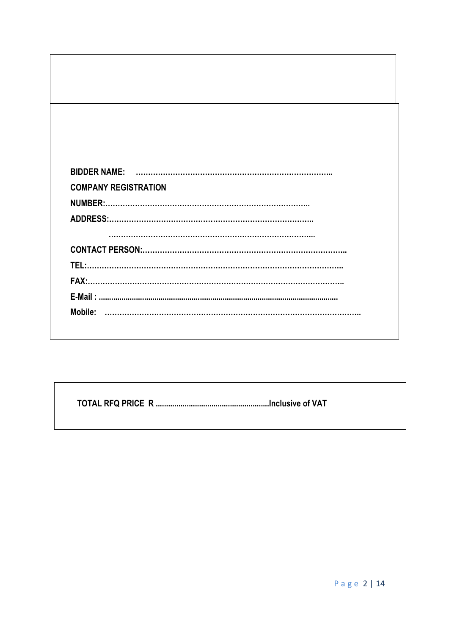| <b>COMPANY REGISTRATION</b> |  |
|-----------------------------|--|
|                             |  |
|                             |  |
|                             |  |
|                             |  |
|                             |  |
|                             |  |
|                             |  |
|                             |  |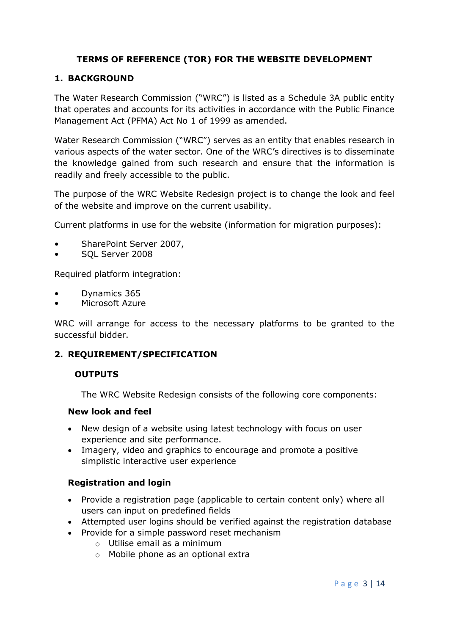## **TERMS OF REFERENCE (TOR) FOR THE WEBSITE DEVELOPMENT**

## **1. BACKGROUND**

The Water Research Commission ("WRC") is listed as a Schedule 3A public entity that operates and accounts for its activities in accordance with the Public Finance Management Act (PFMA) Act No 1 of 1999 as amended.

Water Research Commission ("WRC") serves as an entity that enables research in various aspects of the water sector. One of the WRC's directives is to disseminate the knowledge gained from such research and ensure that the information is readily and freely accessible to the public.

The purpose of the WRC Website Redesign project is to change the look and feel of the website and improve on the current usability.

Current platforms in use for the website (information for migration purposes):

- SharePoint Server 2007,
- SQL Server 2008

Required platform integration:

- Dynamics 365
- Microsoft Azure

WRC will arrange for access to the necessary platforms to be granted to the successful bidder.

### **2. REQUIREMENT/SPECIFICATION**

### **OUTPUTS**

The WRC Website Redesign consists of the following core components:

#### **New look and feel**

- New design of a website using latest technology with focus on user experience and site performance.
- Imagery, video and graphics to encourage and promote a positive simplistic interactive user experience

### **Registration and login**

- Provide a registration page (applicable to certain content only) where all users can input on predefined fields
- Attempted user logins should be verified against the registration database
- Provide for a simple password reset mechanism
	- o Utilise email as a minimum
	- o Mobile phone as an optional extra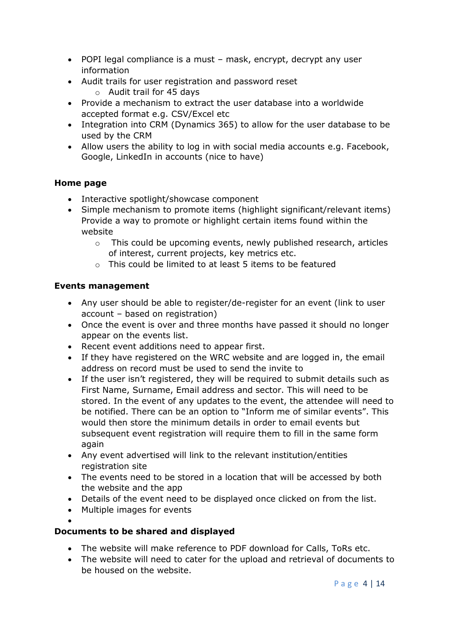- POPI legal compliance is a must mask, encrypt, decrypt any user information
- Audit trails for user registration and password reset
	- o Audit trail for 45 days
- Provide a mechanism to extract the user database into a worldwide accepted format e.g. CSV/Excel etc
- Integration into CRM (Dynamics 365) to allow for the user database to be used by the CRM
- Allow users the ability to log in with social media accounts e.g. Facebook, Google, LinkedIn in accounts (nice to have)

## **Home page**

- Interactive spotlight/showcase component
- Simple mechanism to promote items (highlight significant/relevant items) Provide a way to promote or highlight certain items found within the website
	- o This could be upcoming events, newly published research, articles of interest, current projects, key metrics etc.
	- o This could be limited to at least 5 items to be featured

## **Events management**

- Any user should be able to register/de-register for an event (link to user account – based on registration)
- Once the event is over and three months have passed it should no longer appear on the events list.
- Recent event additions need to appear first.
- If they have registered on the WRC website and are logged in, the email address on record must be used to send the invite to
- If the user isn't registered, they will be required to submit details such as First Name, Surname, Email address and sector. This will need to be stored. In the event of any updates to the event, the attendee will need to be notified. There can be an option to "Inform me of similar events". This would then store the minimum details in order to email events but subsequent event registration will require them to fill in the same form again
- Any event advertised will link to the relevant institution/entities registration site
- The events need to be stored in a location that will be accessed by both the website and the app
- Details of the event need to be displayed once clicked on from the list.
- Multiple images for events
- $\bullet$

## **Documents to be shared and displayed**

- The website will make reference to PDF download for Calls, ToRs etc.
- The website will need to cater for the upload and retrieval of documents to be housed on the website.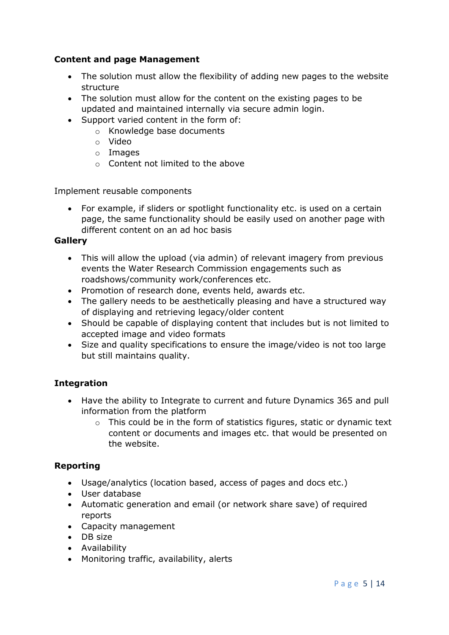## **Content and page Management**

- The solution must allow the flexibility of adding new pages to the website structure
- The solution must allow for the content on the existing pages to be updated and maintained internally via secure admin login.
- Support varied content in the form of:
	- o Knowledge base documents
	- o Video
	- o Images
	- o Content not limited to the above

Implement reusable components

• For example, if sliders or spotlight functionality etc. is used on a certain page, the same functionality should be easily used on another page with different content on an ad hoc basis

## **Gallery**

- This will allow the upload (via admin) of relevant imagery from previous events the Water Research Commission engagements such as roadshows/community work/conferences etc.
- Promotion of research done, events held, awards etc.
- The gallery needs to be aesthetically pleasing and have a structured way of displaying and retrieving legacy/older content
- Should be capable of displaying content that includes but is not limited to accepted image and video formats
- Size and quality specifications to ensure the image/video is not too large but still maintains quality.

## **Integration**

- Have the ability to Integrate to current and future Dynamics 365 and pull information from the platform
	- o This could be in the form of statistics figures, static or dynamic text content or documents and images etc. that would be presented on the website.

## **Reporting**

- Usage/analytics (location based, access of pages and docs etc.)
- User database
- Automatic generation and email (or network share save) of required reports
- Capacity management
- DB size
- Availability
- Monitoring traffic, availability, alerts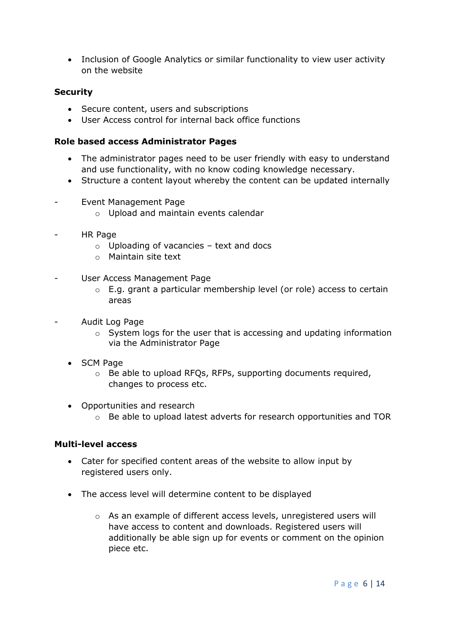• Inclusion of Google Analytics or similar functionality to view user activity on the website

## **Security**

- Secure content, users and subscriptions
- User Access control for internal back office functions

### **Role based access Administrator Pages**

- The administrator pages need to be user friendly with easy to understand and use functionality, with no know coding knowledge necessary.
- Structure a content layout whereby the content can be updated internally
- Event Management Page
	- o Upload and maintain events calendar
- HR Page
	- $\circ$  Uploading of vacancies text and docs
	- o Maintain site text
- User Access Management Page
	- o E.g. grant a particular membership level (or role) access to certain areas
- Audit Log Page
	- o System logs for the user that is accessing and updating information via the Administrator Page
	- SCM Page
		- o Be able to upload RFQs, RFPs, supporting documents required, changes to process etc.
	- Opportunities and research
		- $\circ$  Be able to upload latest adverts for research opportunities and TOR

### **Multi-level access**

- Cater for specified content areas of the website to allow input by registered users only.
- The access level will determine content to be displayed
	- o As an example of different access levels, unregistered users will have access to content and downloads. Registered users will additionally be able sign up for events or comment on the opinion piece etc.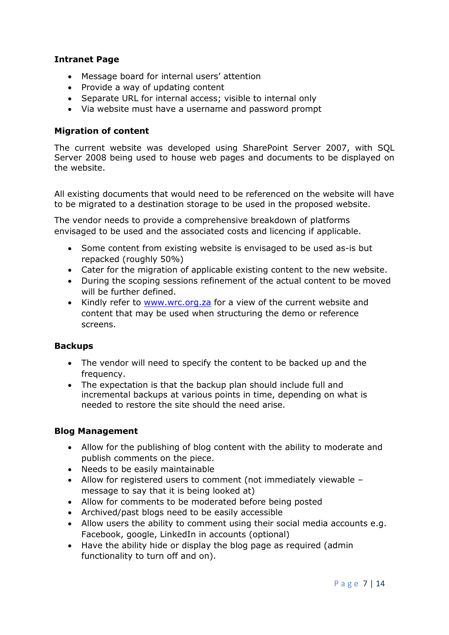### **Intranet Page**

- Message board for internal users' attention
- Provide a way of updating content
- Separate URL for internal access; visible to internal only
- Via website must have a username and password prompt

### **Migration of content**

The current website was developed using SharePoint Server 2007, with SQL Server 2008 being used to house web pages and documents to be displayed on the website.

All existing documents that would need to be referenced on the website will have to be migrated to a destination storage to be used in the proposed website.

The vendor needs to provide a comprehensive breakdown of platforms envisaged to be used and the associated costs and licencing if applicable.

- Some content from existing website is envisaged to be used as-is but repacked (roughly 50%)
- Cater for the migration of applicable existing content to the new website.
- During the scoping sessions refinement of the actual content to be moved will be further defined.
- Kindly refer to [www.wrc.org.za](http://www.wrc.org.za/) for a view of the current website and content that may be used when structuring the demo or reference screens.

### **Backups**

- The vendor will need to specify the content to be backed up and the frequency.
- The expectation is that the backup plan should include full and incremental backups at various points in time, depending on what is needed to restore the site should the need arise.

### **Blog Management**

- Allow for the publishing of blog content with the ability to moderate and publish comments on the piece.
- Needs to be easily maintainable
- Allow for registered users to comment (not immediately viewable message to say that it is being looked at)
- Allow for comments to be moderated before being posted
- Archived/past blogs need to be easily accessible
- Allow users the ability to comment using their social media accounts e.g. Facebook, google, LinkedIn in accounts (optional)
- Have the ability hide or display the blog page as required (admin functionality to turn off and on).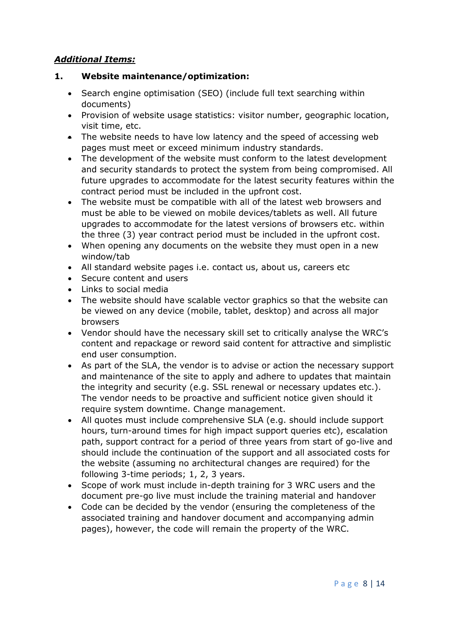## *Additional Items:*

## **1. Website maintenance/optimization:**

- Search engine optimisation (SEO) (include full text searching within documents)
- Provision of website usage statistics: visitor number, geographic location, visit time, etc.
- The website needs to have low latency and the speed of accessing web pages must meet or exceed minimum industry standards.
- The development of the website must conform to the latest development and security standards to protect the system from being compromised. All future upgrades to accommodate for the latest security features within the contract period must be included in the upfront cost.
- The website must be compatible with all of the latest web browsers and must be able to be viewed on mobile devices/tablets as well. All future upgrades to accommodate for the latest versions of browsers etc. within the three (3) year contract period must be included in the upfront cost.
- When opening any documents on the website they must open in a new window/tab
- All standard website pages i.e. contact us, about us, careers etc
- Secure content and users
- Links to social media
- The website should have scalable vector graphics so that the website can be viewed on any device (mobile, tablet, desktop) and across all major browsers
- Vendor should have the necessary skill set to critically analyse the WRC's content and repackage or reword said content for attractive and simplistic end user consumption.
- As part of the SLA, the vendor is to advise or action the necessary support and maintenance of the site to apply and adhere to updates that maintain the integrity and security (e.g. SSL renewal or necessary updates etc.). The vendor needs to be proactive and sufficient notice given should it require system downtime. Change management.
- All quotes must include comprehensive SLA (e.g. should include support hours, turn-around times for high impact support queries etc), escalation path, support contract for a period of three years from start of go-live and should include the continuation of the support and all associated costs for the website (assuming no architectural changes are required) for the following 3-time periods; 1, 2, 3 years.
- Scope of work must include in-depth training for 3 WRC users and the document pre-go live must include the training material and handover
- Code can be decided by the vendor (ensuring the completeness of the associated training and handover document and accompanying admin pages), however, the code will remain the property of the WRC.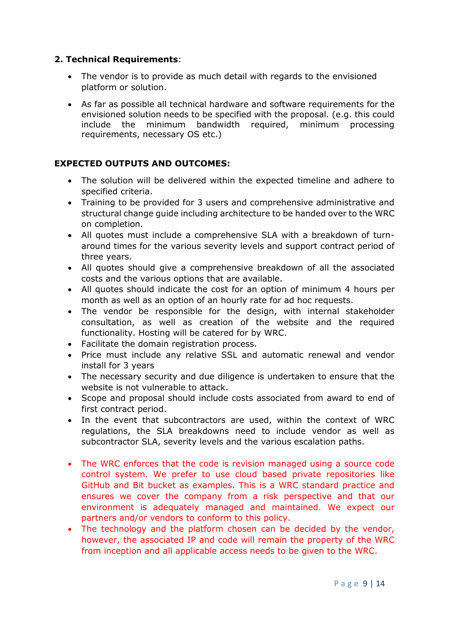## **2. Technical Requirements**:

- The vendor is to provide as much detail with regards to the envisioned platform or solution.
- As far as possible all technical hardware and software requirements for the envisioned solution needs to be specified with the proposal. (e.g. this could include the minimum bandwidth required, minimum processing requirements, necessary OS etc.)

## **EXPECTED OUTPUTS AND OUTCOMES:**

- The solution will be delivered within the expected timeline and adhere to specified criteria.
- Training to be provided for 3 users and comprehensive administrative and structural change guide including architecture to be handed over to the WRC on completion.
- All quotes must include a comprehensive SLA with a breakdown of turnaround times for the various severity levels and support contract period of three years.
- All quotes should give a comprehensive breakdown of all the associated costs and the various options that are available.
- All quotes should indicate the cost for an option of minimum 4 hours per month as well as an option of an hourly rate for ad hoc requests.
- The vendor be responsible for the design, with internal stakeholder consultation, as well as creation of the website and the required functionality. Hosting will be catered for by WRC.
- Facilitate the domain registration process.
- Price must include any relative SSL and automatic renewal and vendor install for 3 years
- The necessary security and due diligence is undertaken to ensure that the website is not vulnerable to attack.
- Scope and proposal should include costs associated from award to end of first contract period.
- In the event that subcontractors are used, within the context of WRC regulations, the SLA breakdowns need to include vendor as well as subcontractor SLA, severity levels and the various escalation paths.
- The WRC enforces that the code is revision managed using a source code control system. We prefer to use cloud based private repositories like GitHub and Bit bucket as examples. This is a WRC standard practice and ensures we cover the company from a risk perspective and that our environment is adequately managed and maintained. We expect our partners and/or vendors to conform to this policy.
- The technology and the platform chosen can be decided by the vendor, however, the associated IP and code will remain the property of the WRC from inception and all applicable access needs to be given to the WRC.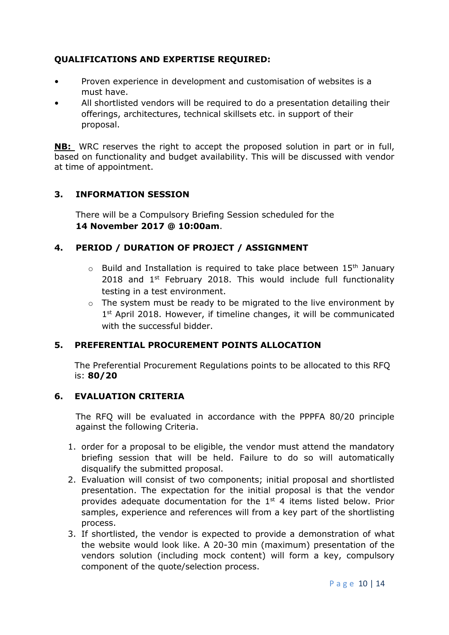## **QUALIFICATIONS AND EXPERTISE REQUIRED:**

- Proven experience in development and customisation of websites is a must have.
- All shortlisted vendors will be required to do a presentation detailing their offerings, architectures, technical skillsets etc. in support of their proposal.

**NB:** WRC reserves the right to accept the proposed solution in part or in full, based on functionality and budget availability. This will be discussed with vendor at time of appointment.

## **3. INFORMATION SESSION**

There will be a Compulsory Briefing Session scheduled for the **14 November 2017 @ 10:00am**.

## **4. PERIOD / DURATION OF PROJECT / ASSIGNMENT**

- $\circ$  Build and Installation is required to take place between 15<sup>th</sup> January 2018 and  $1<sup>st</sup>$  February 2018. This would include full functionality testing in a test environment.
- $\circ$  The system must be ready to be migrated to the live environment by 1<sup>st</sup> April 2018. However, if timeline changes, it will be communicated with the successful bidder.

## **5. PREFERENTIAL PROCUREMENT POINTS ALLOCATION**

The Preferential Procurement Regulations points to be allocated to this RFQ is: **80/20**

## **6. EVALUATION CRITERIA**

The RFQ will be evaluated in accordance with the PPPFA 80/20 principle against the following Criteria.

- 1. order for a proposal to be eligible, the vendor must attend the mandatory briefing session that will be held. Failure to do so will automatically disqualify the submitted proposal.
- 2. Evaluation will consist of two components; initial proposal and shortlisted presentation. The expectation for the initial proposal is that the vendor provides adequate documentation for the  $1<sup>st</sup>$  4 items listed below. Prior samples, experience and references will from a key part of the shortlisting process.
- 3. If shortlisted, the vendor is expected to provide a demonstration of what the website would look like. A 20-30 min (maximum) presentation of the vendors solution (including mock content) will form a key, compulsory component of the quote/selection process.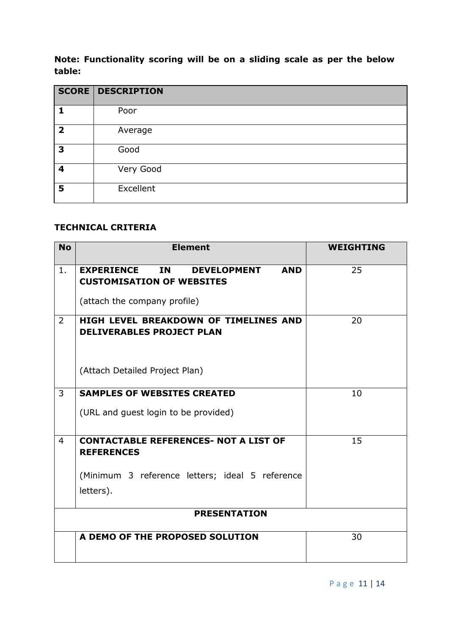**Note: Functionality scoring will be on a sliding scale as per the below table:**

|                          | <b>SCORE DESCRIPTION</b> |
|--------------------------|--------------------------|
|                          | Poor                     |
| $\overline{\phantom{a}}$ | Average                  |
| 3                        | Good                     |
| 4                        | Very Good                |
| 5                        | Excellent                |

## **TECHNICAL CRITERIA**

| <b>No</b>      | <b>Element</b>                                                                                                                         | <b>WEIGHTING</b> |
|----------------|----------------------------------------------------------------------------------------------------------------------------------------|------------------|
| $1$ .          | <b>IN</b><br><b>EXPERIENCE</b><br><b>AND</b><br><b>DEVELOPMENT</b><br><b>CUSTOMISATION OF WEBSITES</b><br>(attach the company profile) | 25               |
| $\overline{2}$ | HIGH LEVEL BREAKDOWN OF TIMELINES AND<br><b>DELIVERABLES PROJECT PLAN</b>                                                              | 20               |
|                | (Attach Detailed Project Plan)                                                                                                         |                  |
| 3              | <b>SAMPLES OF WEBSITES CREATED</b><br>(URL and guest login to be provided)                                                             | 10               |
| $\overline{4}$ | <b>CONTACTABLE REFERENCES- NOT A LIST OF</b><br><b>REFERENCES</b><br>(Minimum 3 reference letters; ideal 5 reference<br>letters).      | 15               |
|                | <b>PRESENTATION</b>                                                                                                                    |                  |
|                | A DEMO OF THE PROPOSED SOLUTION                                                                                                        | 30               |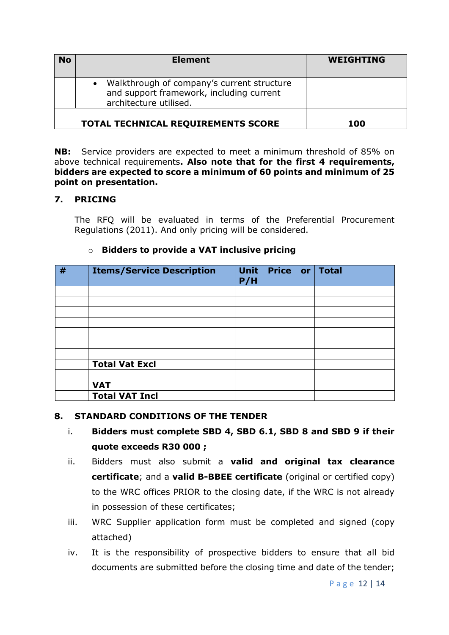| <b>No</b> | <b>Element</b>                                                                                                     | <b>WEIGHTING</b> |
|-----------|--------------------------------------------------------------------------------------------------------------------|------------------|
|           | • Walkthrough of company's current structure<br>and support framework, including current<br>architecture utilised. |                  |
|           | <b>TOTAL TECHNICAL REQUIREMENTS SCORE</b>                                                                          | 100              |

**NB:** Service providers are expected to meet a minimum threshold of 85% on above technical requirements**. Also note that for the first 4 requirements, bidders are expected to score a minimum of 60 points and minimum of 25 point on presentation.**

## **7. PRICING**

The RFQ will be evaluated in terms of the Preferential Procurement Regulations (2011). And only pricing will be considered.

## o **Bidders to provide a VAT inclusive pricing**

| # | <b>Items/Service Description</b> | P/H | Unit Price or | <b>Total</b> |
|---|----------------------------------|-----|---------------|--------------|
|   |                                  |     |               |              |
|   |                                  |     |               |              |
|   |                                  |     |               |              |
|   |                                  |     |               |              |
|   |                                  |     |               |              |
|   |                                  |     |               |              |
|   |                                  |     |               |              |
|   | <b>Total Vat Excl</b>            |     |               |              |
|   |                                  |     |               |              |
|   | <b>VAT</b>                       |     |               |              |
|   | <b>Total VAT Incl</b>            |     |               |              |

### **8. STANDARD CONDITIONS OF THE TENDER**

- i. **Bidders must complete SBD 4, SBD 6.1, SBD 8 and SBD 9 if their quote exceeds R30 000 ;**
- ii. Bidders must also submit a **valid and original tax clearance certificate**; and a **valid B-BBEE certificate** (original or certified copy) to the WRC offices PRIOR to the closing date, if the WRC is not already in possession of these certificates;
- iii. WRC Supplier application form must be completed and signed (copy attached)
- iv. It is the responsibility of prospective bidders to ensure that all bid documents are submitted before the closing time and date of the tender;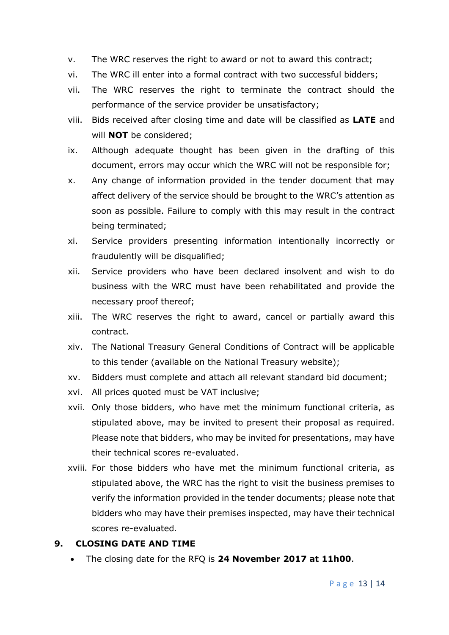- v. The WRC reserves the right to award or not to award this contract;
- vi. The WRC ill enter into a formal contract with two successful bidders;
- vii. The WRC reserves the right to terminate the contract should the performance of the service provider be unsatisfactory;
- viii. Bids received after closing time and date will be classified as **LATE** and will **NOT** be considered;
- ix. Although adequate thought has been given in the drafting of this document, errors may occur which the WRC will not be responsible for;
- x. Any change of information provided in the tender document that may affect delivery of the service should be brought to the WRC's attention as soon as possible. Failure to comply with this may result in the contract being terminated;
- xi. Service providers presenting information intentionally incorrectly or fraudulently will be disqualified;
- xii. Service providers who have been declared insolvent and wish to do business with the WRC must have been rehabilitated and provide the necessary proof thereof;
- xiii. The WRC reserves the right to award, cancel or partially award this contract.
- xiv. The National Treasury General Conditions of Contract will be applicable to this tender (available on the National Treasury website);
- xv. Bidders must complete and attach all relevant standard bid document;
- xvi. All prices quoted must be VAT inclusive;
- xvii. Only those bidders, who have met the minimum functional criteria, as stipulated above, may be invited to present their proposal as required. Please note that bidders, who may be invited for presentations, may have their technical scores re-evaluated.
- xviii. For those bidders who have met the minimum functional criteria, as stipulated above, the WRC has the right to visit the business premises to verify the information provided in the tender documents; please note that bidders who may have their premises inspected, may have their technical scores re-evaluated.

## **9. CLOSING DATE AND TIME**

The closing date for the RFQ is **24 November 2017 at 11h00**.